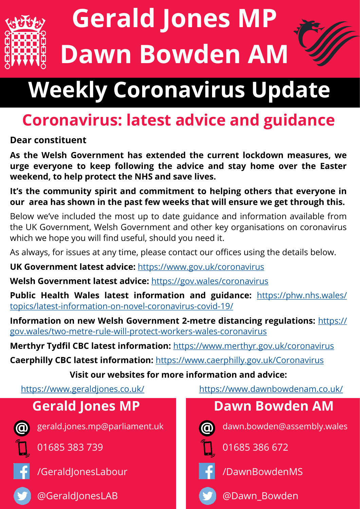

# **Gerald Jones MP Dawn Bowden AM**

# **Weekly Coronavirus Update**

## **Coronavirus: latest advice and guidance**

#### **Dear constituent**

**As the Welsh Government has extended the current lockdown measures, we urge everyone to keep following the advice and stay home over the Easter weekend, to help protect the NHS and save lives.**

**It's the community spirit and commitment to helping others that everyone in our area has shown in the past few weeks that will ensure we get through this.**

Below we've included the most up to date guidance and information available from the UK Government, Welsh Government and other key organisations on coronavirus which we hope you will find useful, should you need it.

As always, for issues at any time, please contact our offices using the details below.

**UK Government latest advice:** <https://www.gov.uk/coronavirus>

**Welsh Government latest advice:** <https://gov.wales/coronavirus>

**Public Health Wales latest information and guidance:** [https://phw.nhs.wales/](https://phw.nhs.wales/topics/latest-information-on-novel-coronavirus-covid-19/) [topics/latest](https://phw.nhs.wales/topics/latest-information-on-novel-coronavirus-covid-19/)-information-on-novel-coronavirus-covid-19/

**Information on new Welsh Government 2-metre distancing regulations:** [https://](https://gov.wales/two-metre-rule-will-protect-workers-wales-coronavirus) [gov.wales/two](https://gov.wales/two-metre-rule-will-protect-workers-wales-coronavirus)-metre-rule-will-protect-workers-wales-coronavirus

**Merthyr Tydfil CBC latest information:** <https://www.merthyr.gov.uk/coronavirus>

**Caerphilly CBC latest information:** <https://www.caerphilly.gov.uk/Coronavirus>

**Visit our websites for more information and advice:** 

### **Gerald Jones MP**



gerald.jones.mp@parliament.uk

01685 383 739



/GeraldJonesLabour

@GeraldJonesLAB

<https://www.geraldjones.co.uk/><https://www.dawnbowdenam.co.uk/>

#### **Dawn Bowden AM**



dawn.bowden@assembly.wales



01685 386 672



/DawnBowdenMS



@Dawn\_Bowden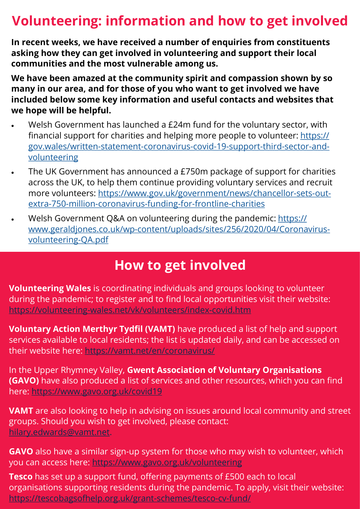### **Volunteering: information and how to get involved**

**In recent weeks, we have received a number of enquiries from constituents asking how they can get involved in volunteering and support their local communities and the most vulnerable among us.**

**We have been amazed at the community spirit and compassion shown by so many in our area, and for those of you who want to get involved we have included below some key information and useful contacts and websites that we hope will be helpful.**

- Welsh Government has launched a £24m fund for the voluntary sector, with financial support for charities and helping more people to volunteer: [https://](https://gov.wales/written-statement-coronavirus-covid-19-support-third-sector-and-volunteering) [gov.wales/written](https://gov.wales/written-statement-coronavirus-covid-19-support-third-sector-and-volunteering)-statement-coronavirus-covid-19-support-third-sector-and[volunteering](https://gov.wales/written-statement-coronavirus-covid-19-support-third-sector-and-volunteering)
- The UK Government has announced a £750m package of support for charities across the UK, to help them continue providing voluntary services and recruit more volunteers: [https://www.gov.uk/government/news/chancellor](https://www.gov.uk/government/news/chancellor-sets-out-extra-750-million-coronavirus-funding-for-frontline-charities)-sets-outextra-750-million-[coronavirus](https://www.gov.uk/government/news/chancellor-sets-out-extra-750-million-coronavirus-funding-for-frontline-charities)-funding-for-frontline-charities
- Welsh Government Q&A on volunteering during the pandemic: [https://](https://www.geraldjones.co.uk/wp-content/uploads/sites/256/2020/04/Coronavirus-volunteering-QA.pdf) www.geraldjones.co.uk/wp-[content/uploads/sites/256/2020/04/Coronavirus](https://www.geraldjones.co.uk/wp-content/uploads/sites/256/2020/04/Coronavirus-volunteering-QA.pdf)[volunteering](https://www.geraldjones.co.uk/wp-content/uploads/sites/256/2020/04/Coronavirus-volunteering-QA.pdf)-QA.pdf

#### **How to get involved**

**Volunteering Wales** is coordinating individuals and groups looking to volunteer during the pandemic; to register and to find local opportunities visit their website: https://volunteering-[wales.net/vk/volunteers/index](https://volunteering-wales.net/vk/volunteers/index-covid.htm)-covid.htm

**Voluntary Action Merthyr Tydfil (VAMT)** have produced a list of help and support services available to local residents; the list is updated daily, and can be accessed on their website here:<https://vamt.net/en/coronavirus/>

In the Upper Rhymney Valley, **Gwent Association of Voluntary Organisations (GAVO)** have also produced a list of services and other resources, which you can find here:<https://www.gavo.org.uk/covid19>

**VAMT** are also looking to help in advising on issues around local community and street groups. Should you wish to get involved, please contact: [hilary.edwards@vamt.net.](mailto:hilary.edwards@vamt.net)

**GAVO** also have a similar sign-up system for those who may wish to volunteer, which you can access here: <https://www.gavo.org.uk/volunteering>

**Tesco** has set up a support fund, offering payments of £500 each to local organisations supporting residents during the pandemic. To apply, visit their website: [https://tescobagsofhelp.org.uk/grant](https://tescobagsofhelp.org.uk/grant-schemes/tesco-cv-fund/)-schemes/tesco-cv-fund/